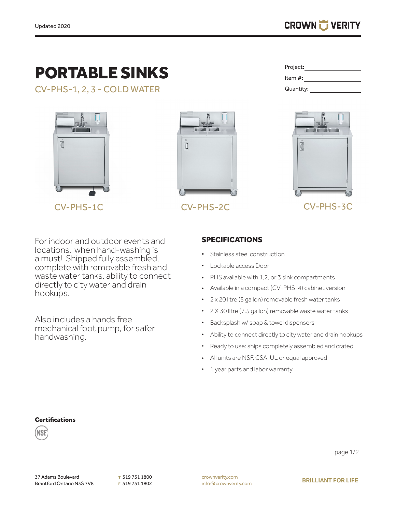# PORTABLE SINKS

CV-PHS-1, 2, 3 - COLD WATER



CV-PHS-1C



Project: Item #: Quantity:



## CV-PHS-2C CV-PHS-3C

For indoor and outdoor events and locations, when hand-washing is a must! Shipped fully assembled, complete with removable fresh and waste water tanks, ability to connect directly to city water and drain hookups.

Also includes a hands free mechanical foot pump, for safer handwashing.

### SPECIFICATIONS

- Stainless steel construction
- Lockable access Door
- PHS available with 1,2, or 3 sink compartments
- Available in a compact (CV-PHS-4) cabinet version
- 2 x 20 litre (5 gallon) removable fresh water tanks
- 2 X 30 litre (7.5 gallon) removable waste water tanks
- • Backsplash w/ soap & towel dispensers
- • Ability to connect directly to city water and drain hookups
- Ready to use: ships completely assembled and crated
- All units are NSF, CSA, UL or equal approved
- 1 year parts and labor warranty

#### **Certifications**



page 1/2